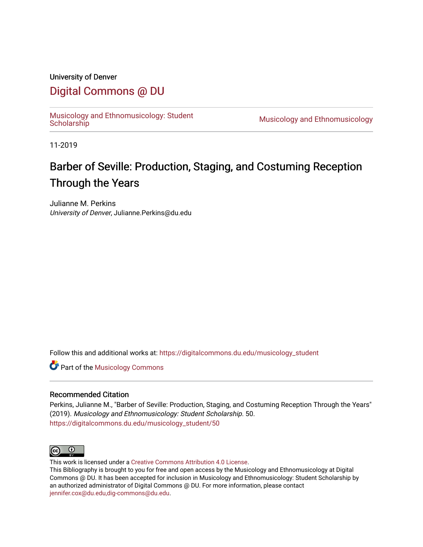#### University of Denver

#### [Digital Commons @ DU](https://digitalcommons.du.edu/)

[Musicology and Ethnomusicology: Student](https://digitalcommons.du.edu/musicology_student) 

Musicology and Ethnomusicology

11-2019

# Barber of Seville: Production, Staging, and Costuming Reception Through the Years

Julianne M. Perkins University of Denver, Julianne.Perkins@du.edu

Follow this and additional works at: [https://digitalcommons.du.edu/musicology\\_student](https://digitalcommons.du.edu/musicology_student?utm_source=digitalcommons.du.edu%2Fmusicology_student%2F50&utm_medium=PDF&utm_campaign=PDFCoverPages) 

**Part of the Musicology Commons** 

#### Recommended Citation

Perkins, Julianne M., "Barber of Seville: Production, Staging, and Costuming Reception Through the Years" (2019). Musicology and Ethnomusicology: Student Scholarship. 50. [https://digitalcommons.du.edu/musicology\\_student/50](https://digitalcommons.du.edu/musicology_student/50?utm_source=digitalcommons.du.edu%2Fmusicology_student%2F50&utm_medium=PDF&utm_campaign=PDFCoverPages)



This work is licensed under a [Creative Commons Attribution 4.0 License](https://creativecommons.org/licenses/by/4.0/).

This Bibliography is brought to you for free and open access by the Musicology and Ethnomusicology at Digital Commons @ DU. It has been accepted for inclusion in Musicology and Ethnomusicology: Student Scholarship by an authorized administrator of Digital Commons @ DU. For more information, please contact [jennifer.cox@du.edu,dig-commons@du.edu](mailto:jennifer.cox@du.edu,dig-commons@du.edu).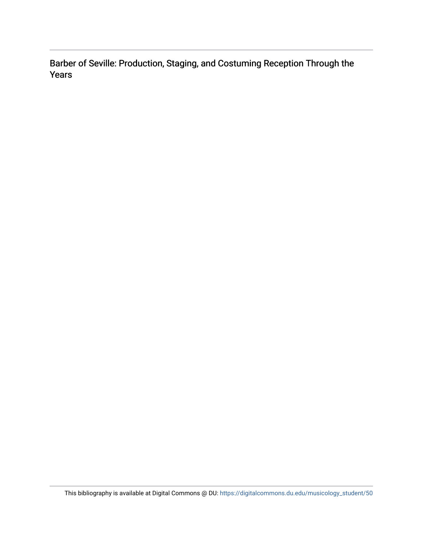Barber of Seville: Production, Staging, and Costuming Reception Through the Years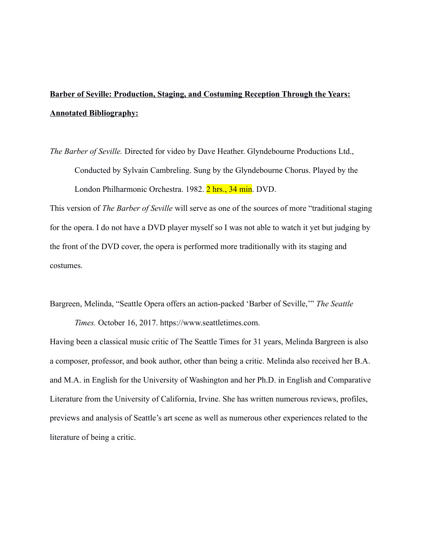## **Barber of Seville: Production, Staging, and Costuming Reception Through the Years: Annotated Bibliography:**

*The Barber of Seville.* Directed for video by Dave Heather. Glyndebourne Productions Ltd., Conducted by Sylvain Cambreling. Sung by the Glyndebourne Chorus. Played by the London Philharmonic Orchestra. 1982. 2 hrs., 34 min. DVD.

This version of *The Barber of Seville* will serve as one of the sources of more "traditional staging for the opera. I do not have a DVD player myself so I was not able to watch it yet but judging by the front of the DVD cover, the opera is performed more traditionally with its staging and costumes.

Bargreen, Melinda, "Seattle Opera offers an action-packed 'Barber of Seville,'" *The Seattle Times.* October 16, 2017. https://www.seattletimes.com.

Having been a classical music critic of The Seattle Times for 31 years, Melinda Bargreen is also a composer, professor, and book author, other than being a critic. Melinda also received her B.A. and M.A. in English for the University of Washington and her Ph.D. in English and Comparative Literature from the University of California, Irvine. She has written numerous reviews, profiles, previews and analysis of Seattle's art scene as well as numerous other experiences related to the literature of being a critic.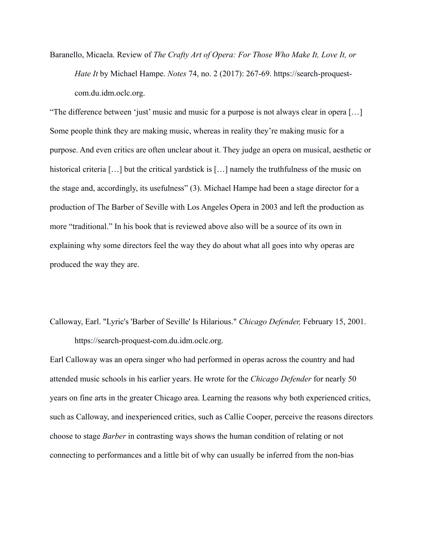Baranello, Micaela. Review of *The Crafty Art of Opera: For Those Who Make It, Love It, or Hate It* by Michael Hampe. *Notes* 74, no. 2 (2017): 267-69. https://search-proquestcom.du.idm.oclc.org.

"The difference between 'just' music and music for a purpose is not always clear in opera […] Some people think they are making music, whereas in reality they're making music for a purpose. And even critics are often unclear about it. They judge an opera on musical, aesthetic or historical criteria [...] but the critical yardstick is [...] namely the truthfulness of the music on the stage and, accordingly, its usefulness" (3). Michael Hampe had been a stage director for a production of The Barber of Seville with Los Angeles Opera in 2003 and left the production as more "traditional." In his book that is reviewed above also will be a source of its own in explaining why some directors feel the way they do about what all goes into why operas are produced the way they are.

Calloway, Earl. "Lyric's 'Barber of Seville' Is Hilarious." *Chicago Defender,* February 15, 2001. https://search-proquest-com.du.idm.oclc.org.

Earl Calloway was an opera singer who had performed in operas across the country and had attended music schools in his earlier years. He wrote for the *Chicago Defender* for nearly 50 years on fine arts in the greater Chicago area. Learning the reasons why both experienced critics, such as Calloway, and inexperienced critics, such as Callie Cooper, perceive the reasons directors choose to stage *Barber* in contrasting ways shows the human condition of relating or not connecting to performances and a little bit of why can usually be inferred from the non-bias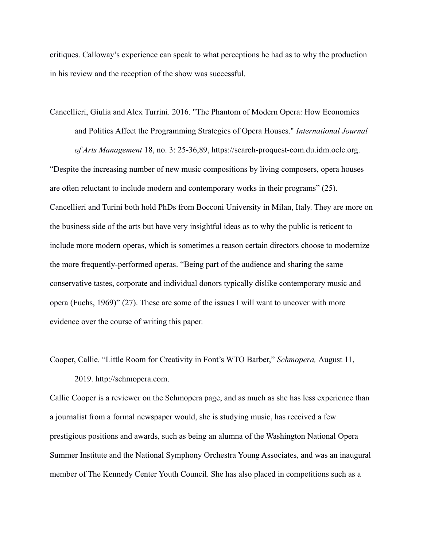critiques. Calloway's experience can speak to what perceptions he had as to why the production in his review and the reception of the show was successful.

Cancellieri, Giulia and Alex Turrini. 2016. "The Phantom of Modern Opera: How Economics and Politics Affect the Programming Strategies of Opera Houses." *International Journal of Arts Management* 18, no. 3: 25-36,89, https://search-proquest-com.du.idm.oclc.org.

"Despite the increasing number of new music compositions by living composers, opera houses are often reluctant to include modern and contemporary works in their programs" (25). Cancellieri and Turini both hold PhDs from Bocconi University in Milan, Italy. They are more on the business side of the arts but have very insightful ideas as to why the public is reticent to include more modern operas, which is sometimes a reason certain directors choose to modernize the more frequently-performed operas. "Being part of the audience and sharing the same conservative tastes, corporate and individual donors typically dislike contemporary music and opera (Fuchs, 1969)" (27). These are some of the issues I will want to uncover with more evidence over the course of writing this paper.

Cooper, Callie. "Little Room for Creativity in Font's WTO Barber," *Schmopera,* August 11, 2019. http://schmopera.com.

Callie Cooper is a reviewer on the Schmopera page, and as much as she has less experience than a journalist from a formal newspaper would, she is studying music, has received a few prestigious positions and awards, such as being an alumna of the Washington National Opera Summer Institute and the National Symphony Orchestra Young Associates, and was an inaugural member of The Kennedy Center Youth Council. She has also placed in competitions such as a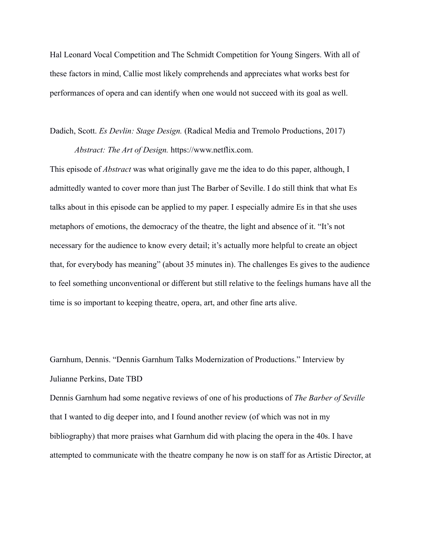Hal Leonard Vocal Competition and The Schmidt Competition for Young Singers. With all of these factors in mind, Callie most likely comprehends and appreciates what works best for performances of opera and can identify when one would not succeed with its goal as well.

#### Dadich, Scott. *Es Devlin: Stage Design.* (Radical Media and Tremolo Productions, 2017) *Abstract: The Art of Design.* https://www.netflix.com.

This episode of *Abstract* was what originally gave me the idea to do this paper, although, I admittedly wanted to cover more than just The Barber of Seville. I do still think that what Es talks about in this episode can be applied to my paper. I especially admire Es in that she uses metaphors of emotions, the democracy of the theatre, the light and absence of it. "It's not necessary for the audience to know every detail; it's actually more helpful to create an object that, for everybody has meaning" (about 35 minutes in). The challenges Es gives to the audience to feel something unconventional or different but still relative to the feelings humans have all the time is so important to keeping theatre, opera, art, and other fine arts alive.

## Garnhum, Dennis. "Dennis Garnhum Talks Modernization of Productions." Interview by Julianne Perkins, Date TBD

Dennis Garnhum had some negative reviews of one of his productions of *The Barber of Seville* that I wanted to dig deeper into, and I found another review (of which was not in my bibliography) that more praises what Garnhum did with placing the opera in the 40s. I have attempted to communicate with the theatre company he now is on staff for as Artistic Director, at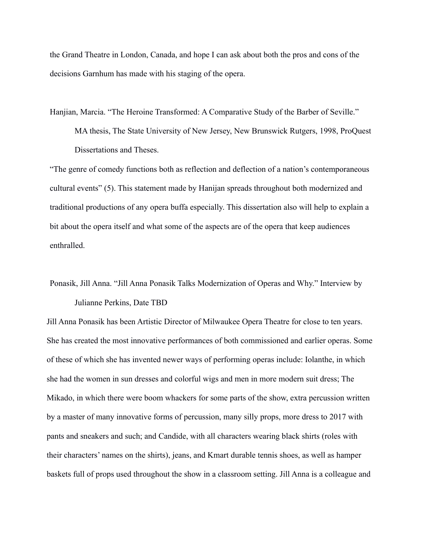the Grand Theatre in London, Canada, and hope I can ask about both the pros and cons of the decisions Garnhum has made with his staging of the opera.

Hanjian, Marcia. "The Heroine Transformed: A Comparative Study of the Barber of Seville." MA thesis, The State University of New Jersey, New Brunswick Rutgers, 1998, ProQuest Dissertations and Theses.

"The genre of comedy functions both as reflection and deflection of a nation's contemporaneous cultural events" (5). This statement made by Hanijan spreads throughout both modernized and traditional productions of any opera buffa especially. This dissertation also will help to explain a bit about the opera itself and what some of the aspects are of the opera that keep audiences enthralled.

## Ponasik, Jill Anna. "Jill Anna Ponasik Talks Modernization of Operas and Why." Interview by Julianne Perkins, Date TBD

Jill Anna Ponasik has been Artistic Director of Milwaukee Opera Theatre for close to ten years. She has created the most innovative performances of both commissioned and earlier operas. Some of these of which she has invented newer ways of performing operas include: Iolanthe, in which she had the women in sun dresses and colorful wigs and men in more modern suit dress; The Mikado, in which there were boom whackers for some parts of the show, extra percussion written by a master of many innovative forms of percussion, many silly props, more dress to 2017 with pants and sneakers and such; and Candide, with all characters wearing black shirts (roles with their characters' names on the shirts), jeans, and Kmart durable tennis shoes, as well as hamper baskets full of props used throughout the show in a classroom setting. Jill Anna is a colleague and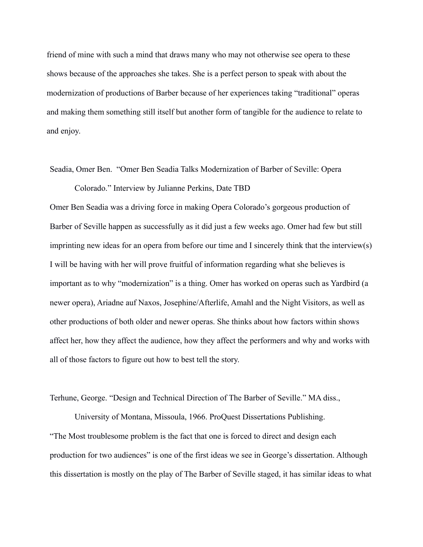friend of mine with such a mind that draws many who may not otherwise see opera to these shows because of the approaches she takes. She is a perfect person to speak with about the modernization of productions of Barber because of her experiences taking "traditional" operas and making them something still itself but another form of tangible for the audience to relate to and enjoy.

Seadia, Omer Ben. "Omer Ben Seadia Talks Modernization of Barber of Seville: Opera

Colorado." Interview by Julianne Perkins, Date TBD Omer Ben Seadia was a driving force in making Opera Colorado's gorgeous production of Barber of Seville happen as successfully as it did just a few weeks ago. Omer had few but still imprinting new ideas for an opera from before our time and I sincerely think that the interview(s) I will be having with her will prove fruitful of information regarding what she believes is important as to why "modernization" is a thing. Omer has worked on operas such as Yardbird (a newer opera), Ariadne auf Naxos, Josephine/Afterlife, Amahl and the Night Visitors, as well as other productions of both older and newer operas. She thinks about how factors within shows affect her, how they affect the audience, how they affect the performers and why and works with all of those factors to figure out how to best tell the story.

Terhune, George. "Design and Technical Direction of The Barber of Seville." MA diss.,

University of Montana, Missoula, 1966. ProQuest Dissertations Publishing. "The Most troublesome problem is the fact that one is forced to direct and design each production for two audiences" is one of the first ideas we see in George's dissertation. Although this dissertation is mostly on the play of The Barber of Seville staged, it has similar ideas to what